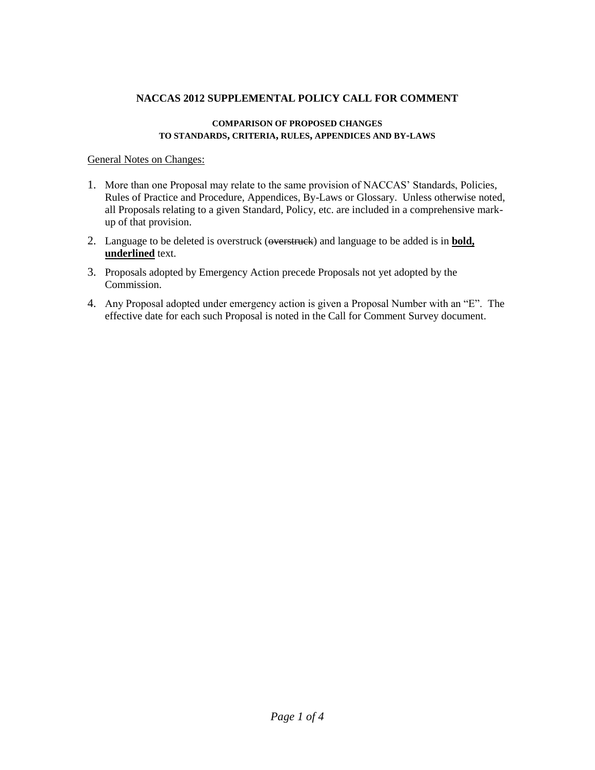## **NACCAS 2012 SUPPLEMENTAL POLICY CALL FOR COMMENT**

### **COMPARISON OF PROPOSED CHANGES TO STANDARDS, CRITERIA, RULES, APPENDICES AND BY-LAWS**

## General Notes on Changes:

- 1. More than one Proposal may relate to the same provision of NACCAS' Standards, Policies, Rules of Practice and Procedure, Appendices, By-Laws or Glossary. Unless otherwise noted, all Proposals relating to a given Standard, Policy, etc. are included in a comprehensive markup of that provision.
- 2. Language to be deleted is overstruck (overstruck) and language to be added is in **bold, underlined** text.
- 3. Proposals adopted by Emergency Action precede Proposals not yet adopted by the Commission.
- 4. Any Proposal adopted under emergency action is given a Proposal Number with an "E". The effective date for each such Proposal is noted in the Call for Comment Survey document.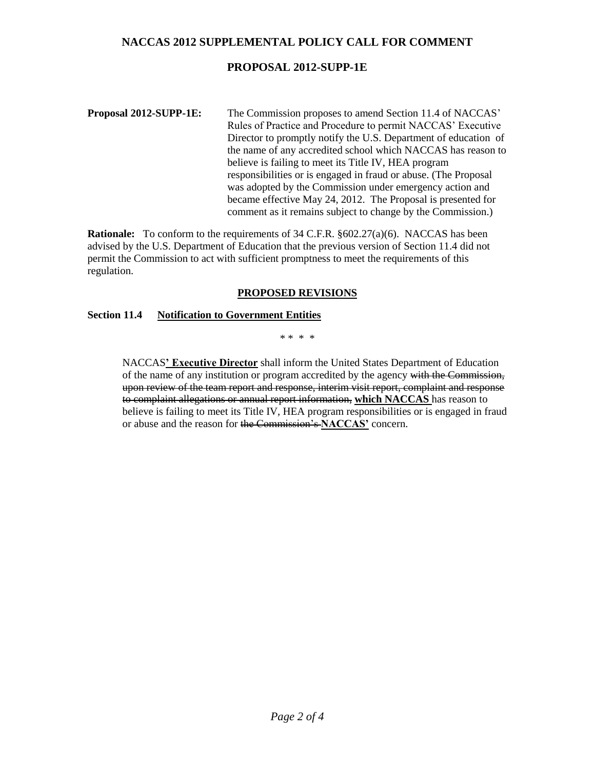## **NACCAS 2012 SUPPLEMENTAL POLICY CALL FOR COMMENT**

## **PROPOSAL 2012-SUPP-1E**

### **Proposal 2012-SUPP-1E:** The Commission proposes to amend Section 11.4 of NACCAS' Rules of Practice and Procedure to permit NACCAS' Executive Director to promptly notify the U.S. Department of education of the name of any accredited school which NACCAS has reason to believe is failing to meet its Title IV, HEA program responsibilities or is engaged in fraud or abuse. (The Proposal was adopted by the Commission under emergency action and became effective May 24, 2012. The Proposal is presented for comment as it remains subject to change by the Commission.)

**Rationale:** To conform to the requirements of 34 C.F.R. §602.27(a)(6). NACCAS has been advised by the U.S. Department of Education that the previous version of Section 11.4 did not permit the Commission to act with sufficient promptness to meet the requirements of this regulation.

### **PROPOSED REVISIONS**

### **Section 11.4 Notification to Government Entities**

\* \* \* \*

NACCAS**' Executive Director** shall inform the United States Department of Education of the name of any institution or program accredited by the agency with the Commission, upon review of the team report and response, interim visit report, complaint and response to complaint allegations or annual report information, **which NACCAS** has reason to believe is failing to meet its Title IV, HEA program responsibilities or is engaged in fraud or abuse and the reason for the Commission's **NACCAS'** concern.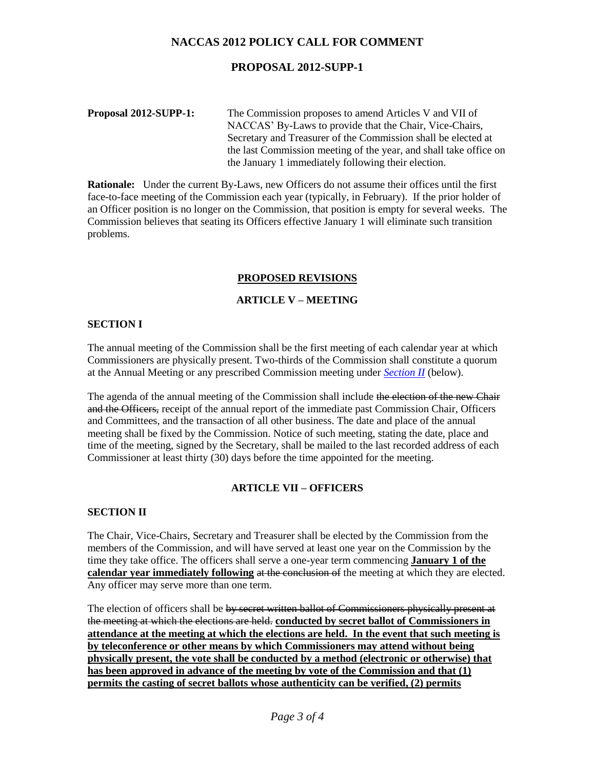# **NACCAS 2012 POLICY CALL FOR COMMENT**

## **PROPOSAL 2012-SUPP-1**

**Proposal 2012-SUPP-1:** The Commission proposes to amend Articles V and VII of NACCAS' By-Laws to provide that the Chair, Vice-Chairs, Secretary and Treasurer of the Commission shall be elected at the last Commission meeting of the year, and shall take office on the January 1 immediately following their election.

**Rationale:** Under the current By-Laws, new Officers do not assume their offices until the first face-to-face meeting of the Commission each year (typically, in February). If the prior holder of an Officer position is no longer on the Commission, that position is empty for several weeks. The Commission believes that seating its Officers effective January 1 will eliminate such transition problems.

## **PROPOSED REVISIONS**

## **ARTICLE V – MEETING**

### **SECTION I**

The annual meeting of the Commission shall be the first meeting of each calendar year at which Commissioners are physically present. Two-thirds of the Commission shall constitute a quorum at the Annual Meeting or any prescribed Commission meeting under *Section II* (below).

The agenda of the annual meeting of the Commission shall include the election of the new Chair and the Officers, receipt of the annual report of the immediate past Commission Chair, Officers and Committees, and the transaction of all other business. The date and place of the annual meeting shall be fixed by the Commission. Notice of such meeting, stating the date, place and time of the meeting, signed by the Secretary, shall be mailed to the last recorded address of each Commissioner at least thirty (30) days before the time appointed for the meeting.

### **ARTICLE VII – OFFICERS**

### **SECTION II**

The Chair, Vice-Chairs, Secretary and Treasurer shall be elected by the Commission from the members of the Commission, and will have served at least one year on the Commission by the time they take office. The officers shall serve a one-year term commencing **January 1 of the calendar year immediately following at the conclusion of** the meeting at which they are elected. Any officer may serve more than one term.

The election of officers shall be by secret written ballot of Commissioners physically present at the meeting at which the elections are held. **conducted by secret ballot of Commissioners in attendance at the meeting at which the elections are held. In the event that such meeting is by teleconference or other means by which Commissioners may attend without being physically present, the vote shall be conducted by a method (electronic or otherwise) that has been approved in advance of the meeting by vote of the Commission and that (1) permits the casting of secret ballots whose authenticity can be verified, (2) permits**